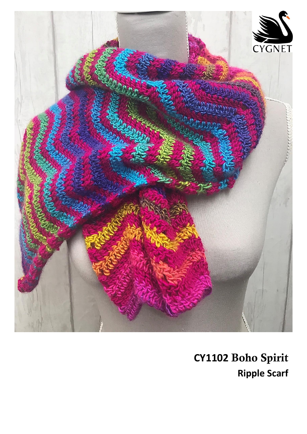

CY1102 Boho Spirit **Ripple Scarf**